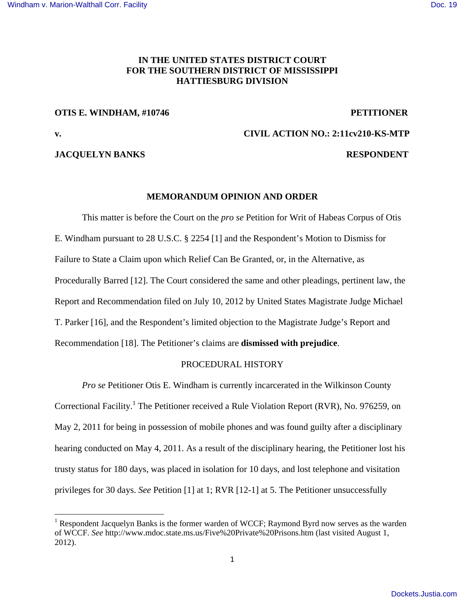# **IN THE UNITED STATES DISTRICT COURT FOR THE SOUTHERN DISTRICT OF MISSISSIPPI HATTIESBURG DIVISION**

#### **OTIS E. WINDHAM, #10746 PETITIONER**

**v. CIVIL ACTION NO.: 2:11cv210-KS-MTP** 

#### **JACQUELYN BANKS RESPONDENT**

## **MEMORANDUM OPINION AND ORDER**

This matter is before the Court on the *pro se* Petition for Writ of Habeas Corpus of Otis E. Windham pursuant to 28 U.S.C. § 2254 [1] and the Respondent's Motion to Dismiss for Failure to State a Claim upon which Relief Can Be Granted, or, in the Alternative, as Procedurally Barred [12]. The Court considered the same and other pleadings, pertinent law, the Report and Recommendation filed on July 10, 2012 by United States Magistrate Judge Michael T. Parker [16], and the Respondent's limited objection to the Magistrate Judge's Report and Recommendation [18]. The Petitioner's claims are **dismissed with prejudice**.

## PROCEDURAL HISTORY

*Pro se* Petitioner Otis E. Windham is currently incarcerated in the Wilkinson County Correctional Facility.<sup>1</sup> The Petitioner received a Rule Violation Report (RVR), No. 976259, on May 2, 2011 for being in possession of mobile phones and was found guilty after a disciplinary hearing conducted on May 4, 2011. As a result of the disciplinary hearing, the Petitioner lost his trusty status for 180 days, was placed in isolation for 10 days, and lost telephone and visitation privileges for 30 days. *See* Petition [1] at 1; RVR [12-1] at 5. The Petitioner unsuccessfully

<sup>&</sup>lt;sup>1</sup> Respondent Jacquelyn Banks is the former warden of WCCF; Raymond Byrd now serves as the warden of WCCF. *See* http://www.mdoc.state.ms.us/Five%20Private%20Prisons.htm (last visited August 1, 2012).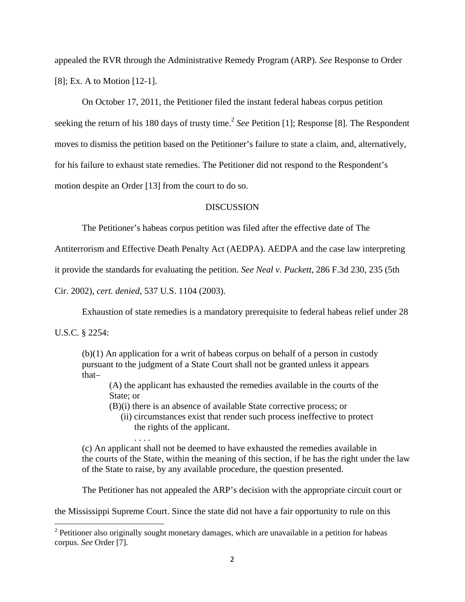appealed the RVR through the Administrative Remedy Program (ARP). *See* Response to Order [8]; Ex. A to Motion [12-1].

On October 17, 2011, the Petitioner filed the instant federal habeas corpus petition seeking the return of his 180 days of trusty time.<sup>2</sup> See Petition [1]; Response [8]. The Respondent moves to dismiss the petition based on the Petitioner's failure to state a claim, and, alternatively, for his failure to exhaust state remedies. The Petitioner did not respond to the Respondent's motion despite an Order [13] from the court to do so.

#### **DISCUSSION**

The Petitioner's habeas corpus petition was filed after the effective date of The

Antiterrorism and Effective Death Penalty Act (AEDPA). AEDPA and the case law interpreting

it provide the standards for evaluating the petition. *See Neal v. Puckett*, 286 F.3d 230, 235 (5th

Cir. 2002), *cert. denied*, 537 U.S. 1104 (2003).

Exhaustion of state remedies is a mandatory prerequisite to federal habeas relief under 28

U.S.C. § 2254:

 (b)(1) An application for a writ of habeas corpus on behalf of a person in custody pursuant to the judgment of a State Court shall not be granted unless it appears that–

 (A) the applicant has exhausted the remedies available in the courts of the State; or

(B)(i) there is an absence of available State corrective process; or

 (ii) circumstances exist that render such process ineffective to protect the rights of the applicant.

 . . . . (c) An applicant shall not be deemed to have exhausted the remedies available in the courts of the State, within the meaning of this section, if he has the right under the law of the State to raise, by any available procedure, the question presented.

The Petitioner has not appealed the ARP's decision with the appropriate circuit court or

the Mississippi Supreme Court. Since the state did not have a fair opportunity to rule on this

 $2$  Petitioner also originally sought monetary damages, which are unavailable in a petition for habeas corpus. *See* Order [7].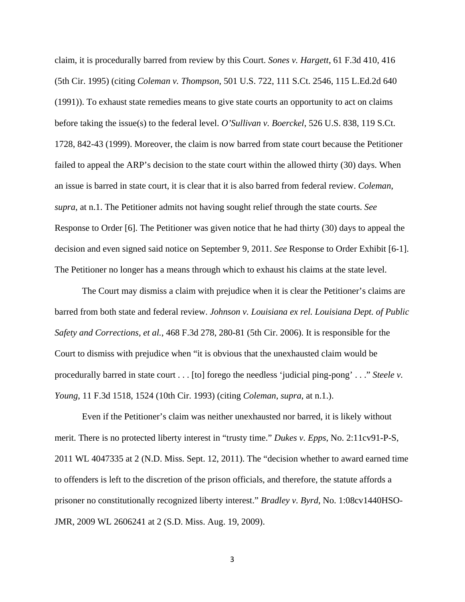claim, it is procedurally barred from review by this Court. *Sones v. Hargett*, 61 F.3d 410, 416 (5th Cir. 1995) (citing *Coleman v. Thompson*, 501 U.S. 722, 111 S.Ct. 2546, 115 L.Ed.2d 640 (1991)). To exhaust state remedies means to give state courts an opportunity to act on claims before taking the issue(s) to the federal level. *O'Sullivan v. Boerckel*, 526 U.S. 838, 119 S.Ct. 1728, 842-43 (1999). Moreover, the claim is now barred from state court because the Petitioner failed to appeal the ARP's decision to the state court within the allowed thirty (30) days. When an issue is barred in state court, it is clear that it is also barred from federal review. *Coleman*, *supra*, at n.1. The Petitioner admits not having sought relief through the state courts. *See* Response to Order [6]. The Petitioner was given notice that he had thirty (30) days to appeal the decision and even signed said notice on September 9, 2011. *See* Response to Order Exhibit [6-1]. The Petitioner no longer has a means through which to exhaust his claims at the state level.

 The Court may dismiss a claim with prejudice when it is clear the Petitioner's claims are barred from both state and federal review. *Johnson v. Louisiana ex rel. Louisiana Dept. of Public Safety and Corrections, et al.*, 468 F.3d 278, 280-81 (5th Cir. 2006). It is responsible for the Court to dismiss with prejudice when "it is obvious that the unexhausted claim would be procedurally barred in state court . . . [to] forego the needless 'judicial ping-pong' . . ." *Steele v. Young*, 11 F.3d 1518, 1524 (10th Cir. 1993) (citing *Coleman*, *supra*, at n.1.).

 Even if the Petitioner's claim was neither unexhausted nor barred, it is likely without merit. There is no protected liberty interest in "trusty time." *Dukes v. Epps*, No. 2:11cv91-P-S, 2011 WL 4047335 at 2 (N.D. Miss. Sept. 12, 2011). The "decision whether to award earned time to offenders is left to the discretion of the prison officials, and therefore, the statute affords a prisoner no constitutionally recognized liberty interest." *Bradley v. Byrd*, No. 1:08cv1440HSO-JMR, 2009 WL 2606241 at 2 (S.D. Miss. Aug. 19, 2009).

3